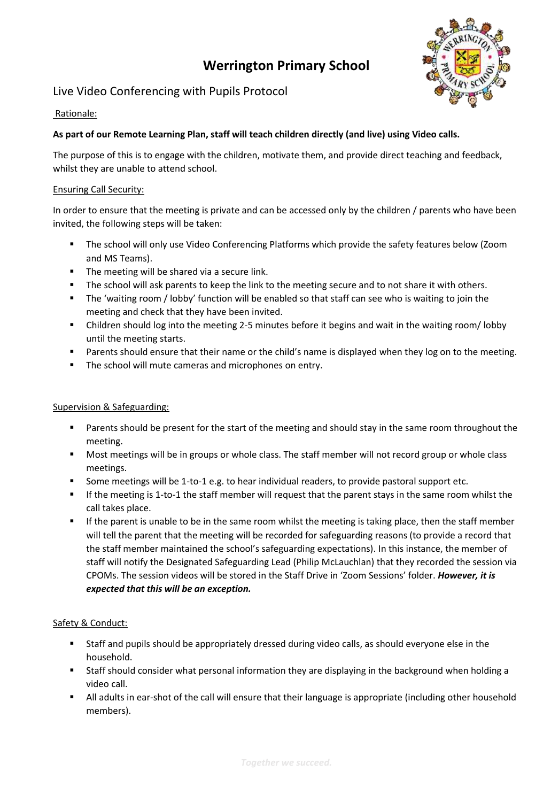# **Werrington Primary School**



# Live Video Conferencing with Pupils Protocol

## Rationale:

### **As part of our Remote Learning Plan, staff will teach children directly (and live) using Video calls.**

The purpose of this is to engage with the children, motivate them, and provide direct teaching and feedback, whilst they are unable to attend school.

#### Ensuring Call Security:

In order to ensure that the meeting is private and can be accessed only by the children / parents who have been invited, the following steps will be taken:

- The school will only use Video Conferencing Platforms which provide the safety features below (Zoom and MS Teams).
- The meeting will be shared via a secure link.
- The school will ask parents to keep the link to the meeting secure and to not share it with others.
- The 'waiting room / lobby' function will be enabled so that staff can see who is waiting to join the meeting and check that they have been invited.
- Children should log into the meeting 2-5 minutes before it begins and wait in the waiting room/ lobby until the meeting starts.
- Parents should ensure that their name or the child's name is displayed when they log on to the meeting.
- The school will mute cameras and microphones on entry.

### Supervision & Safeguarding:

- **Parents should be present for the start of the meeting and should stay in the same room throughout the** meeting.
- Most meetings will be in groups or whole class. The staff member will not record group or whole class meetings.
- Some meetings will be 1-to-1 e.g. to hear individual readers, to provide pastoral support etc.
- If the meeting is 1-to-1 the staff member will request that the parent stays in the same room whilst the call takes place.
- If the parent is unable to be in the same room whilst the meeting is taking place, then the staff member will tell the parent that the meeting will be recorded for safeguarding reasons (to provide a record that the staff member maintained the school's safeguarding expectations). In this instance, the member of staff will notify the Designated Safeguarding Lead (Philip McLauchlan) that they recorded the session via CPOMs. The session videos will be stored in the Staff Drive in 'Zoom Sessions' folder. *However, it is expected that this will be an exception.*

#### Safety & Conduct:

- Staff and pupils should be appropriately dressed during video calls, as should everyone else in the household.
- Staff should consider what personal information they are displaying in the background when holding a video call.
- All adults in ear-shot of the call will ensure that their language is appropriate (including other household members).